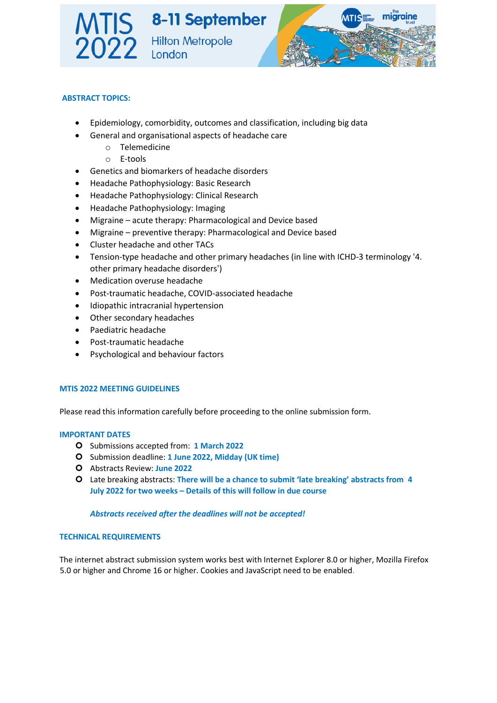

### **ABSTRACT TOPICS:**

- Epidemiology, comorbidity, outcomes and classification, including big data
- General and organisational aspects of headache care
	- o Telemedicine
	- o E-tools
- Genetics and biomarkers of headache disorders
- Headache Pathophysiology: Basic Research
- Headache Pathophysiology: Clinical Research
- Headache Pathophysiology: Imaging
- Migraine acute therapy: Pharmacological and Device based
- Migraine preventive therapy: Pharmacological and Device based
- Cluster headache and other TACs
- Tension-type headache and other primary headaches (in line with ICHD-3 terminology '4. other primary headache disorders')
- Medication overuse headache
- Post-traumatic headache, COVID-associated headache
- Idiopathic intracranial hypertension
- Other secondary headaches
- Paediatric headache
- Post-traumatic headache
- Psychological and behaviour factors

### **MTIS 2022 MEETING GUIDELINES**

Please read this information carefully before proceeding to the online submission form.

### **IMPORTANT DATES**

- Submissions accepted from: **1 March 2022**
- Submission deadline: **1 June 2022, Midday (UK time)**
- Abstracts Review: **June 2022**
- Late breaking abstracts: **There will be a chance to submit 'late breaking' abstracts from 4 July 2022 for two weeks – Details of this will follow in due course**

### *Abstracts received after the deadlines will not be accepted!*

### **TECHNICAL REQUIREMENTS**

The internet abstract submission system works best with Internet Explorer 8.0 or higher, Mozilla Firefox 5.0 or higher and Chrome 16 or higher. Cookies and JavaScript need to be enabled.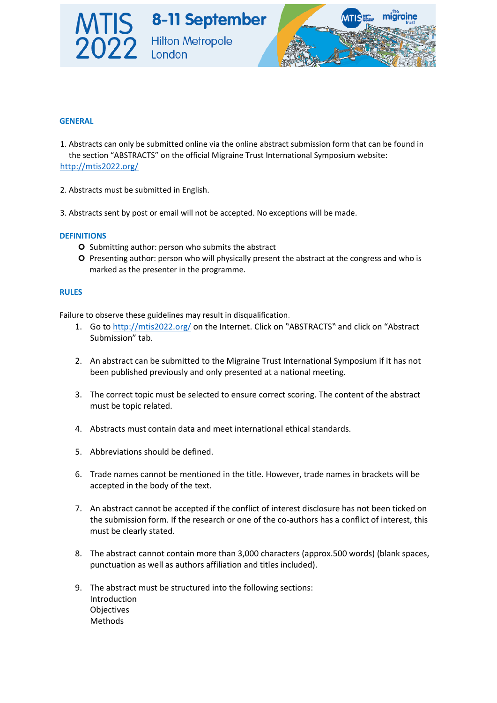

# **GENERAL**

- 1. Abstracts can only be submitted online via the online abstract submission form that can be found in the section "ABSTRACTS" on the official Migraine Trust International Symposium website: <http://mtis2022.org/>
- 2. Abstracts must be submitted in English.
- 3. Abstracts sent by post or email will not be accepted. No exceptions will be made.

### **DEFINITIONS**

- O Submitting author: person who submits the abstract
- Presenting author: person who will physically present the abstract at the congress and who is marked as the presenter in the programme.

### **RULES**

Failure to observe these guidelines may result in disqualification.

- 1. Go [to](http://mtis2020.org/) <http://mtis2022.org/> [o](http://mtis2020.org/)n the Internet. Click on "ABSTRACTS" and click on "Abstract Submission" tab.
- 2. An abstract can be submitted to the Migraine Trust International Symposium if it has not been published previously and only presented at a national meeting.
- 3. The correct topic must be selected to ensure correct scoring. The content of the abstract must be topic related.
- 4. Abstracts must contain data and meet international ethical standards.
- 5. Abbreviations should be defined.
- 6. Trade names cannot be mentioned in the title. However, trade names in brackets will be accepted in the body of the text.
- 7. An abstract cannot be accepted if the conflict of interest disclosure has not been ticked on the submission form. If the research or one of the co-authors has a conflict of interest, this must be clearly stated.
- 8. The abstract cannot contain more than 3,000 characters (approx.500 words) (blank spaces, punctuation as well as authors affiliation and titles included).
- 9. The abstract must be structured into the following sections: Introduction **Objectives** Methods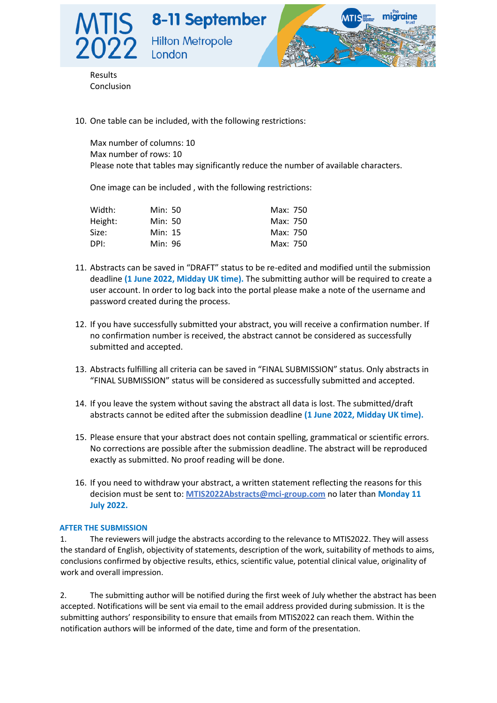



Results Conclusion

10. One table can be included, with the following restrictions:

London

Max number of columns: 10 Max number of rows: 10 Please note that tables may significantly reduce the number of available characters.

One image can be included , with the following restrictions:

| Width:  | Min: 50 | Max: 750 |
|---------|---------|----------|
| Height: | Min: 50 | Max: 750 |
| Size:   | Min: 15 | Max: 750 |
| DPI:    | Min: 96 | Max: 750 |

- 11. Abstracts can be saved in "DRAFT" status to be re-edited and modified until the submission deadline **(1 June 2022, Midday UK time).** The submitting author will be required to create a user account. In order to log back into the portal please make a note of the username and password created during the process.
- 12. If you have successfully submitted your abstract, you will receive a confirmation number. If no confirmation number is received, the abstract cannot be considered as successfully submitted and accepted.
- 13. Abstracts fulfilling all criteria can be saved in "FINAL SUBMISSION" status. Only abstracts in "FINAL SUBMISSION" status will be considered as successfully submitted and accepted.
- 14. If you leave the system without saving the abstract all data is lost. The submitted/draft abstracts cannot be edited after the submission deadline **(1 June 2022, Midday UK time).**
- 15. Please ensure that your abstract does not contain spelling, grammatical or scientific errors. No corrections are possible after the submission deadline. The abstract will be reproduced exactly as submitted. No proof reading will be done.
- 16. If you need to withdraw your abstract, a written statement reflecting the reasons for this decision must be sent to: **MTIS2022Abstracts@mci-group.com** no later than **Monday 11 July 2022.**

### **AFTER THE SUBMISSION**

1. The reviewers will judge the abstracts according to the relevance to MTIS2022. They will assess the standard of English, objectivity of statements, description of the work, suitability of methods to aims, conclusions confirmed by objective results, ethics, scientific value, potential clinical value, originality of work and overall impression.

2. The submitting author will be notified during the first week of July whether the abstract has been accepted. Notifications will be sent via email to the email address provided during submission. It is the submitting authors' responsibility to ensure that emails from MTIS2022 can reach them. Within the notification authors will be informed of the date, time and form of the presentation.